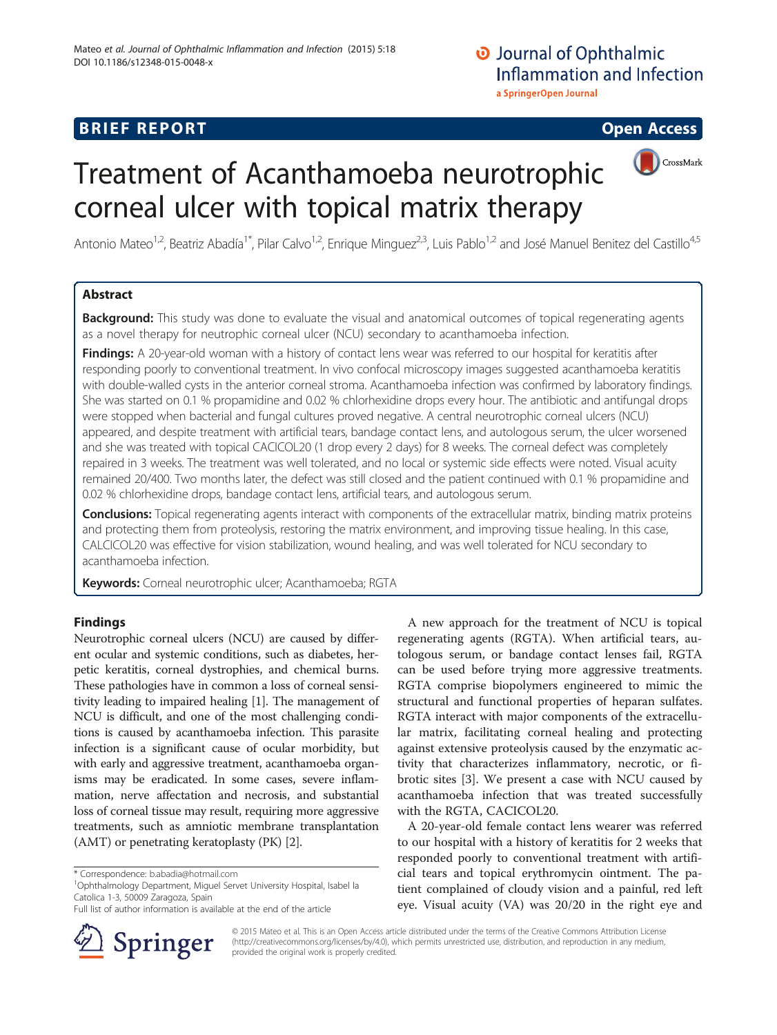# **BRIEF REPORT CONSTRUCTED ACCESS**

CrossMark



Antonio Mateo<sup>1,2</sup>, Beatriz Abadía<sup>1\*</sup>, Pilar Calvo<sup>1,2</sup>, Enrique Minguez<sup>2,3</sup>, Luis Pablo<sup>1,2</sup> and José Manuel Benitez del Castillo<sup>4,5</sup>

### Abstract

Background: This study was done to evaluate the visual and anatomical outcomes of topical regenerating agents as a novel therapy for neutrophic corneal ulcer (NCU) secondary to acanthamoeba infection.

Findings: A 20-year-old woman with a history of contact lens wear was referred to our hospital for keratitis after responding poorly to conventional treatment. In vivo confocal microscopy images suggested acanthamoeba keratitis with double-walled cysts in the anterior corneal stroma. Acanthamoeba infection was confirmed by laboratory findings. She was started on 0.1 % propamidine and 0.02 % chlorhexidine drops every hour. The antibiotic and antifungal drops were stopped when bacterial and fungal cultures proved negative. A central neurotrophic corneal ulcers (NCU) appeared, and despite treatment with artificial tears, bandage contact lens, and autologous serum, the ulcer worsened and she was treated with topical CACICOL20 (1 drop every 2 days) for 8 weeks. The corneal defect was completely repaired in 3 weeks. The treatment was well tolerated, and no local or systemic side effects were noted. Visual acuity remained 20/400. Two months later, the defect was still closed and the patient continued with 0.1 % propamidine and 0.02 % chlorhexidine drops, bandage contact lens, artificial tears, and autologous serum.

Conclusions: Topical regenerating agents interact with components of the extracellular matrix, binding matrix proteins and protecting them from proteolysis, restoring the matrix environment, and improving tissue healing. In this case, CALCICOL20 was effective for vision stabilization, wound healing, and was well tolerated for NCU secondary to acanthamoeba infection.

Keywords: Corneal neurotrophic ulcer; Acanthamoeba; RGTA

### Findings

Neurotrophic corneal ulcers (NCU) are caused by different ocular and systemic conditions, such as diabetes, herpetic keratitis, corneal dystrophies, and chemical burns. These pathologies have in common a loss of corneal sensitivity leading to impaired healing [[1\]](#page-2-0). The management of NCU is difficult, and one of the most challenging conditions is caused by acanthamoeba infection. This parasite infection is a significant cause of ocular morbidity, but with early and aggressive treatment, acanthamoeba organisms may be eradicated. In some cases, severe inflammation, nerve affectation and necrosis, and substantial loss of corneal tissue may result, requiring more aggressive treatments, such as amniotic membrane transplantation (AMT) or penetrating keratoplasty (PK) [[2\]](#page-2-0).

<sup>1</sup>Ophthalmology Department, Miguel Servet University Hospital, Isabel la Catolica 1-3, 50009 Zaragoza, Spain

Full list of author information is available at the end of the article



A new approach for the treatment of NCU is topical regenerating agents (RGTA). When artificial tears, autologous serum, or bandage contact lenses fail, RGTA can be used before trying more aggressive treatments. RGTA comprise biopolymers engineered to mimic the structural and functional properties of heparan sulfates. RGTA interact with major components of the extracellular matrix, facilitating corneal healing and protecting against extensive proteolysis caused by the enzymatic activity that characterizes inflammatory, necrotic, or fibrotic sites [[3\]](#page-2-0). We present a case with NCU caused by acanthamoeba infection that was treated successfully with the RGTA, CACICOL20.

A 20-year-old female contact lens wearer was referred to our hospital with a history of keratitis for 2 weeks that responded poorly to conventional treatment with artificial tears and topical erythromycin ointment. The patient complained of cloudy vision and a painful, red left eye. Visual acuity (VA) was 20/20 in the right eye and

© 2015 Mateo et al. This is an Open Access article distributed under the terms of the Creative Commons Attribution License (<http://creativecommons.org/licenses/by/4.0>), which permits unrestricted use, distribution, and reproduction in any medium, provided the original work is properly credited.

<sup>\*</sup> Correspondence: [b.abadia@hotmail.com](mailto:b.abadia@hotmail.com) <sup>1</sup>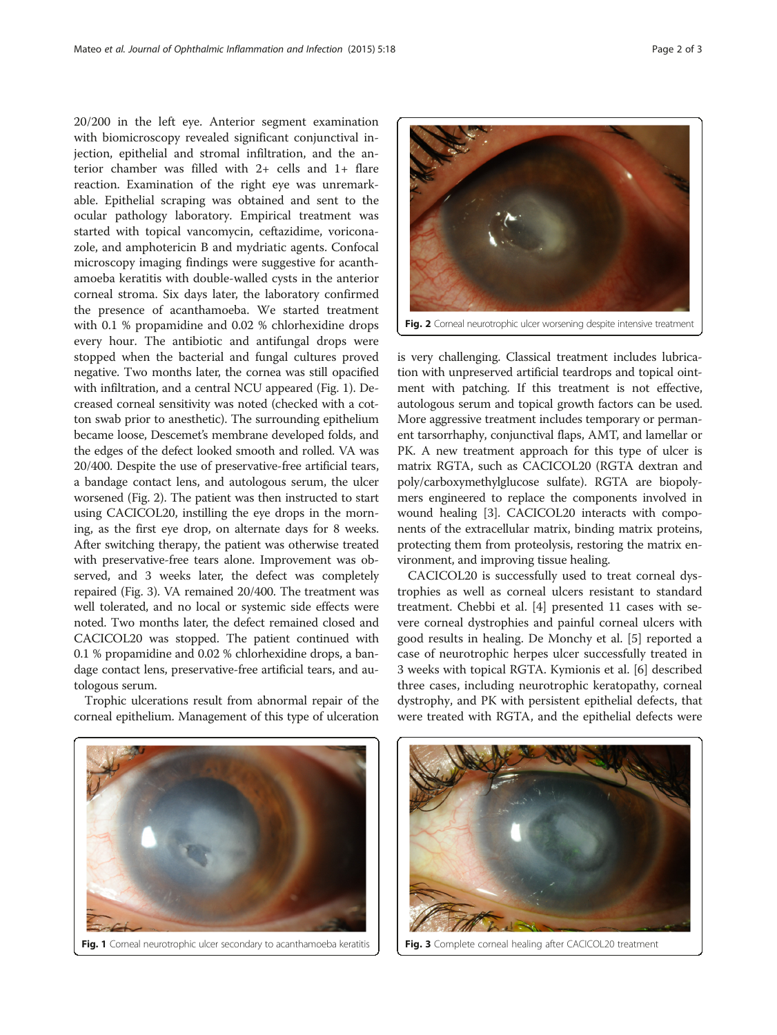20/200 in the left eye. Anterior segment examination with biomicroscopy revealed significant conjunctival injection, epithelial and stromal infiltration, and the anterior chamber was filled with 2+ cells and 1+ flare reaction. Examination of the right eye was unremarkable. Epithelial scraping was obtained and sent to the ocular pathology laboratory. Empirical treatment was started with topical vancomycin, ceftazidime, voriconazole, and amphotericin B and mydriatic agents. Confocal microscopy imaging findings were suggestive for acanthamoeba keratitis with double-walled cysts in the anterior corneal stroma. Six days later, the laboratory confirmed the presence of acanthamoeba. We started treatment with 0.1 % propamidine and 0.02 % chlorhexidine drops every hour. The antibiotic and antifungal drops were stopped when the bacterial and fungal cultures proved negative. Two months later, the cornea was still opacified with infiltration, and a central NCU appeared (Fig. 1). Decreased corneal sensitivity was noted (checked with a cotton swab prior to anesthetic). The surrounding epithelium became loose, Descemet's membrane developed folds, and the edges of the defect looked smooth and rolled. VA was 20/400. Despite the use of preservative-free artificial tears, a bandage contact lens, and autologous serum, the ulcer worsened (Fig. 2). The patient was then instructed to start using CACICOL20, instilling the eye drops in the morning, as the first eye drop, on alternate days for 8 weeks. After switching therapy, the patient was otherwise treated with preservative-free tears alone. Improvement was observed, and 3 weeks later, the defect was completely repaired (Fig. 3). VA remained 20/400. The treatment was well tolerated, and no local or systemic side effects were noted. Two months later, the defect remained closed and CACICOL20 was stopped. The patient continued with 0.1 % propamidine and 0.02 % chlorhexidine drops, a bandage contact lens, preservative-free artificial tears, and autologous serum.

Trophic ulcerations result from abnormal repair of the corneal epithelium. Management of this type of ulceration



Fig. 2 Corneal neurotrophic ulcer worsening despite intensive treatment

is very challenging. Classical treatment includes lubrication with unpreserved artificial teardrops and topical ointment with patching. If this treatment is not effective, autologous serum and topical growth factors can be used. More aggressive treatment includes temporary or permanent tarsorrhaphy, conjunctival flaps, AMT, and lamellar or PK. A new treatment approach for this type of ulcer is matrix RGTA, such as CACICOL20 (RGTA dextran and poly/carboxymethylglucose sulfate). RGTA are biopolymers engineered to replace the components involved in wound healing [[3\]](#page-2-0). CACICOL20 interacts with components of the extracellular matrix, binding matrix proteins, protecting them from proteolysis, restoring the matrix environment, and improving tissue healing.

CACICOL20 is successfully used to treat corneal dystrophies as well as corneal ulcers resistant to standard treatment. Chebbi et al. [\[4](#page-2-0)] presented 11 cases with severe corneal dystrophies and painful corneal ulcers with good results in healing. De Monchy et al. [\[5](#page-2-0)] reported a case of neurotrophic herpes ulcer successfully treated in 3 weeks with topical RGTA. Kymionis et al. [[6\]](#page-2-0) described three cases, including neurotrophic keratopathy, corneal dystrophy, and PK with persistent epithelial defects, that were treated with RGTA, and the epithelial defects were



Fig. 1 Corneal neurotrophic ulcer secondary to acanthamoeba keratitis



Fig. 3 Complete corneal healing after CACICOL20 treatment